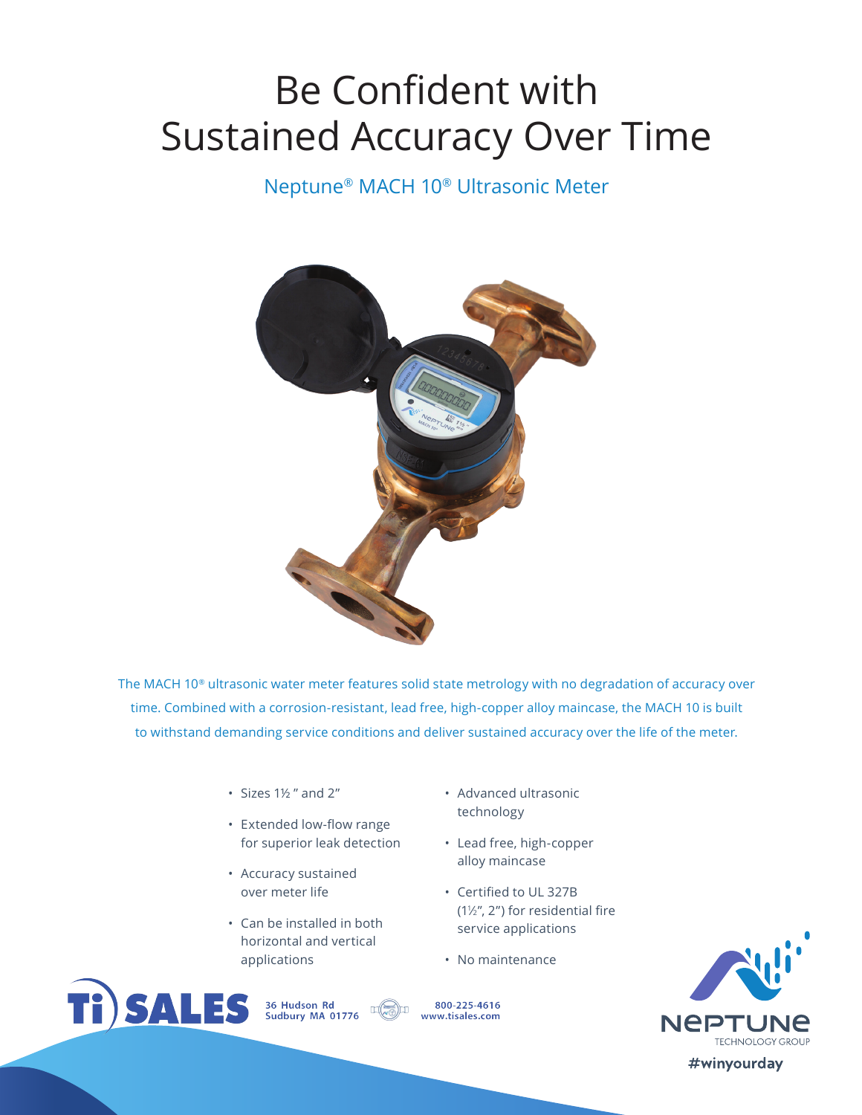# Be Confident with Sustained Accuracy Over Time

# Neptune® MACH 10® Ultrasonic Meter



The MACH 10® ultrasonic water meter features solid state metrology with no degradation of accuracy over time. Combined with a corrosion-resistant, lead free, high-copper alloy maincase, the MACH 10 is built to withstand demanding service conditions and deliver sustained accuracy over the life of the meter.

- Sizes 1½ " and 2"
- Extended low-flow range for superior leak detection
- Accuracy sustained over meter life
- Can be installed in both horizontal and vertical applications

36 Hudson Rd<br>Sudbury MA 01776

**Ti)SALES** 

- Advanced ultrasonic technology
- Lead free, high-copper alloy maincase
- Certified to UL 327B (11 ⁄2", 2") for residential fire service applications
- No maintenance

800-225-4616 www.tisales.com